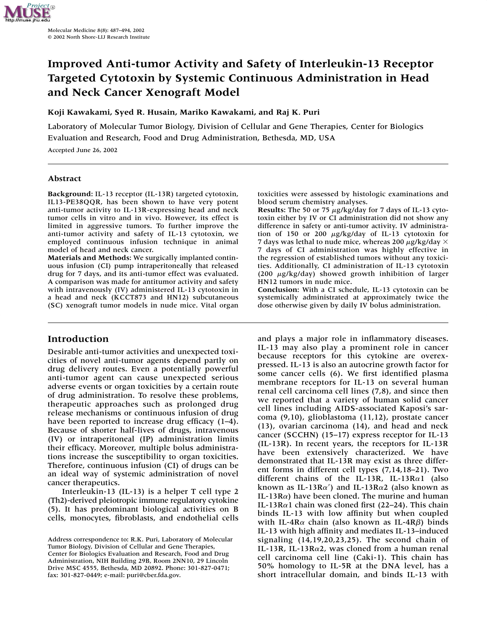

# **Improved Anti-tumor Activity and Safety of Interleukin-13 Receptor Targeted Cytotoxin by Systemic Continuous Administration in Head and Neck Cancer Xenograft Model**

## **Koji Kawakami, Syed R. Husain, Mariko Kawakami, and Raj K. Puri**

Laboratory of Molecular Tumor Biology, Division of Cellular and Gene Therapies, Center for Biologics Evaluation and Research, Food and Drug Administration, Bethesda, MD, USA

Accepted June 26, 2002

## **Abstract**

**Background:** IL-13 receptor (IL-13R) targeted cytotoxin, IL13-PE38QQR, has been shown to have very potent anti-tumor activity to IL-13R-expressing head and neck tumor cells in vitro and in vivo. However, its effect is limited in aggressive tumors. To further improve the anti-tumor activity and safety of IL-13 cytotoxin, we employed continuous infusion technique in animal model of head and neck cancer.

**Materials and Methods:** We surgically implanted continuous infusion (CI) pump intraperitoneally that released drug for 7 days, and its anti-tumor effect was evaluated. A comparison was made for antitumor activity and safety with intravenously (IV) administered IL-13 cytotoxin in a head and neck (KCCT873 and HN12) subcutaneous (SC) xenograft tumor models in nude mice. Vital organ

## **Introduction**

Desirable anti-tumor activities and unexpected toxicities of novel anti-tumor agents depend partly on drug delivery routes. Even a potentially powerful anti-tumor agent can cause unexpected serious adverse events or organ toxicities by a certain route of drug administration. To resolve these problems, therapeutic approaches such as prolonged drug release mechanisms or continuous infusion of drug have been reported to increase drug efficacy  $(1-4)$ . Because of shorter half-lives of drugs, intravenous (IV) or intraperitoneal (IP) administration limits their efficacy. Moreover, multiple bolus administrations increase the susceptibility to organ toxicities. Therefore, continuous infusion (CI) of drugs can be an ideal way of systemic administration of novel cancer therapeutics.

Interleukin-13 (IL-13) is a helper T cell type 2 (Th2)-derived pleiotropic immune regulatory cytokine (5). It has predominant biological activities on B cells, monocytes, fibroblasts, and endothelial cells toxicities were assessed by histologic examinations and blood serum chemistry analyses.

Results: The 50 or 75 µg/kg/day for 7 days of IL-13 cytotoxin either by IV or CI administration did not show any difference in safety or anti-tumor activity. IV administration of 150 or 200  $\mu$ g/kg/day of IL-13 cytotoxin for 7 days was lethal to nude mice, whereas 200  $\mu$ g/kg/day  $\times$ 7 days of CI administration was highly effective in the regression of established tumors without any toxicities. Additionally, CI administration of IL-13 cytotoxin (200  $\mu$ g/kg/day) showed growth inhibition of larger HN12 tumors in nude mice.

**Conclusion:** With a CI schedule, IL-13 cytotoxin can be systemically administrated at approximately twice the dose otherwise given by daily IV bolus administration.

and plays a major role in inflammatory diseases. IL-13 may also play a prominent role in cancer because receptors for this cytokine are overexpressed. IL-13 is also an autocrine growth factor for some cancer cells (6). We first identified plasma membrane receptors for IL-13 on several human renal cell carcinoma cell lines (7,8), and since then we reported that a variety of human solid cancer cell lines including AIDS-associated Kaposi's sarcoma (9,10), glioblastoma (11,12), prostate cancer (13), ovarian carcinoma (14), and head and neck cancer (SCCHN) (15–17) express receptor for IL-13 (IL-13R). In recent years, the receptors for IL-13R have been extensively characterized. We have demonstrated that IL-13R may exist as three different forms in different cell types (7,14,18–21). Two different chains of the IL-13R, IL-13Ra1 (also known as IL-13R $\alpha'$ ) and IL-13R $\alpha$ 2 (also known as  $IL-13R\alpha$ ) have been cloned. The murine and human IL-13Rα1 chain was cloned first (22–24). This chain binds IL-13 with low affinity but when coupled with IL-4R $\alpha$  chain (also known as IL-4R $\beta$ ) binds IL-13 with high affinity and mediates IL-13–induced signaling (14,19,20,23,25). The second chain of IL-13R, IL-13Rα2, was cloned from a human renal cell carcinoma cell line (Caki-1). This chain has 50% homology to IL-5R at the DNA level, has a short intracellular domain, and binds IL-13 with

Address correspondence to: R.K. Puri, Laboratory of Molecular Tumor Biology, Division of Cellular and Gene Therapies, Center for Biologics Evaluation and Research, Food and Drug Administration, NIH Building 29B, Room 2NN10, 29 Lincoln Drive MSC 4555, Bethesda, MD 20892. Phone: 301-827-0471; fax: 301-827-0449; e-mail: puri@cber.fda.gov.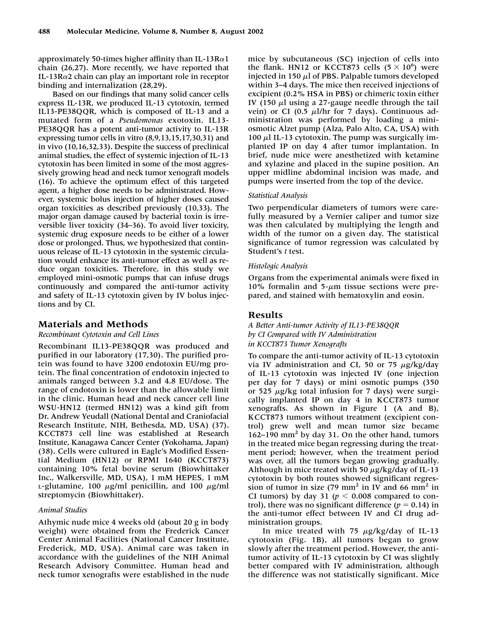approximately 50-times higher affinity than IL-13Ral chain (26,27). More recently, we have reported that IL-13Rα2 chain can play an important role in receptor binding and internalization (28,29).

Based on our findings that many solid cancer cells express IL-13R, we produced IL-13 cytotoxin, termed IL13-PE38QQR, which is composed of IL-13 and a mutated form of a *Pseudomonas* exotoxin. IL13- PE38QQR has a potent anti-tumor activity to IL-13R expressing tumor cells in vitro (8,9,13,15,17,30,31) and in vivo (10,16,32,33). Despite the success of preclinical animal studies, the effect of systemic injection of IL-13 cytotoxin has been limited in some of the most aggressively growing head and neck tumor xenograft models (16). To achieve the optimum effect of this targeted agent, a higher dose needs to be administrated. However, systemic bolus injection of higher doses caused organ toxicities as described previously (10,33). The major organ damage caused by bacterial toxin is irreversible liver toxicity (34–36). To avoid liver toxicity, systemic drug exposure needs to be either of a lower dose or prolonged. Thus, we hypothesized that continuous release of IL-13 cytotoxin in the systemic circulation would enhance its anti-tumor effect as well as reduce organ toxicities. Therefore, in this study we employed mini-osmotic pumps that can infuse drugs continuously and compared the anti-tumor activity and safety of IL-13 cytotoxin given by IV bolus injections and by CI.

## **Materials and Methods**

#### *Recombinant Cytotoxin and Cell Lines*

Recombinant IL13-PE38QQR was produced and purified in our laboratory (17,30). The purified protein was found to have 3200 endotoxin EU/mg protein. The final concentration of endotoxin injected to animals ranged between 3.2 and 4.8 EU/dose. The range of endotoxin is lower than the allowable limit in the clinic. Human head and neck cancer cell line WSU-HN12 (termed HN12) was a kind gift from Dr. Andrew Yeudall (National Dental and Craniofacial Research Institute, NIH, Bethesda, MD, USA) (37). KCCT873 cell line was established at Research Institute, Kanagawa Cancer Center (Yokohama, Japan) (38). Cells were cultured in Eagle's Modified Essential Medium (HN12) or RPMI 1640 (KCCT873) containing 10% fetal bovine serum (Biowhittaker Inc., Walkersville, MD, USA), 1 mM HEPES, 1 mM L-glutamine, 100  $\mu$ g/ml penicillin, and 100  $\mu$ g/ml streptomycin (Biowhittaker).

#### *Animal Studies*

Athymic nude mice 4 weeks old (about 20 g in body weight) were obtained from the Frederick Cancer Center Animal Facilities (National Cancer Institute, Frederick, MD, USA). Animal care was taken in accordance with the guidelines of the NIH Animal Research Advisory Committee. Human head and neck tumor xenografts were established in the nude

mice by subcutaneous (SC) injection of cells into the flank. HN12 or KCCT873 cells  $(5 \times 10^6)$  were injected in 150  $\mu$ l of PBS. Palpable tumors developed within 3–4 days. The mice then received injections of excipient (0.2% HSA in PBS) or chimeric toxin either IV (150  $\mu$ ) using a 27-gauge needle through the tail vein) or CI (0.5  $\mu$ l/hr for 7 days). Continuous administration was performed by loading a miniosmotic Alzet pump (Alza, Palo Alto, CA, USA) with 100  $\mu$ l IL-13 cytotoxin. The pump was surgically implanted IP on day 4 after tumor implantation. In brief, nude mice were anesthetized with ketamine and xylazine and placed in the supine position. An upper midline abdominal incision was made, and pumps were inserted from the top of the device.

#### *Statistical Analysis*

Two perpendicular diameters of tumors were carefully measured by a Vernier caliper and tumor size was then calculated by multiplying the length and width of the tumor on a given day. The statistical significance of tumor regression was calculated by Student's *t* test.

#### *Histologic Analysis*

Organs from the experimental animals were fixed in 10% formalin and  $5-\mu m$  tissue sections were prepared, and stained with hematoxylin and eosin.

#### **Results**

*A Better Anti-tumor Activity of IL13-PE38QQR by CI Compared with IV Administration in KCCT873 Tumor Xenografts*

To compare the anti-tumor activity of IL-13 cytotoxin via IV administration and CI, 50 or 75  $\mu$ g/kg/day of IL-13 cytotoxin was injected IV (one injection per day for 7 days) or mini osmotic pumps (350 or 525  $\mu$ g/kg total infusion for 7 days) were surgically implanted IP on day 4 in KCCT873 tumor xenografts. As shown in Figure 1 (A and B), KCCT873 tumors without treatment (excipient control) grew well and mean tumor size became 162–190 mm<sup>2</sup> by day 31. On the other hand, tumors in the treated mice began regressing during the treatment period; however, when the treatment period was over, all the tumors began growing gradually. Although in mice treated with 50  $\mu$ g/kg/day of IL-13 cytotoxin by both routes showed significant regression of tumor in size  $(79 \text{ mm}^2 \text{ in } IV)$  and 66 mm<sup>2</sup> in CI tumors) by day 31 ( $p < 0.008$  compared to control), there was no significant difference  $(p = 0.14)$  in the anti-tumor effect between IV and CI drug administration groups.

In mice treated with 75  $\mu$ g/kg/day of IL-13 cytotoxin (Fig. 1B), all tumors began to grow slowly after the treatment period. However, the antitumor activity of IL-13 cytotoxin by CI was slightly better compared with IV administration, although the difference was not statistically significant. Mice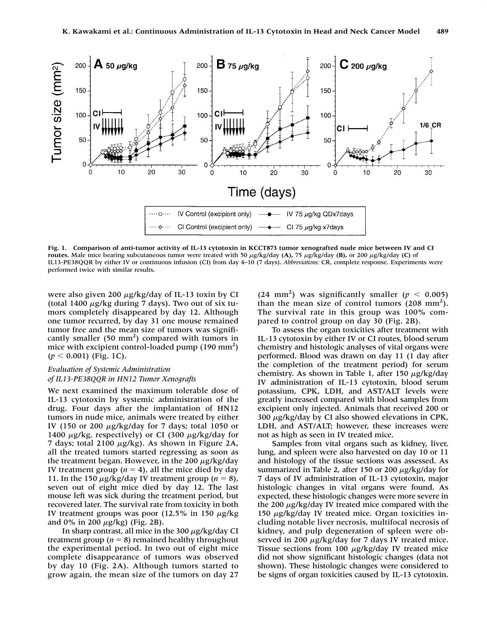

**Fig. 1. Comparison of anti-tumor activity of IL-13 cytotoxin in KCCT873 tumor xenografted nude mice between IV and CI** routes. Male mice bearing subcutaneous tumor were treated with 50 µg/kg/day **(A)**, 75 µg/kg/day **(B)**, or 200 µg/kg/day **(C)** of IL13-PE38QQR by either IV or continuous infusion (CI) from day 4–10 (7 days). *Abbreviations:* CR, complete response. Experiments were performed twice with similar results.

were also given 200  $\mu$ g/kg/day of IL-13 toxin by CI (total 1400  $\mu$ g/kg during 7 days). Two out of six tumors completely disappeared by day 12. Although one tumor recurred, by day 31 one mouse remained tumor free and the mean size of tumors was significantly smaller (50 mm<sup>2</sup>) compared with tumors in mice with excipient control-loaded pump (190 mm<sup>2</sup>)  $(p < 0.001)$  (Fig. 1C).

## *Evaluation of Systemic Administration of IL13-PE38QQR in HN12 Tumor Xenografts*

We next examined the maximum tolerable dose of IL-13 cytotoxin by systemic administration of the drug. Four days after the implantation of HN12 tumors in nude mice, animals were treated by either IV (150 or 200  $\mu$ g/kg/day for 7 days; total 1050 or 1400  $\mu$ g/kg, respectively) or CI (300  $\mu$ g/kg/day for 7 days; total 2100  $\mu$ g/kg). As shown in Figure 2A, all the treated tumors started regressing as soon as the treatment began. However, in the 200  $\mu$ g/kg/day IV treatment group  $(n = 4)$ , all the mice died by day 11. In the 150  $\mu$ g/kg/day IV treatment group ( $n = 8$ ), seven out of eight mice died by day 12. The last mouse left was sick during the treatment period, but recovered later. The survival rate from toxicity in both IV treatment groups was poor (12.5% in 150  $\mu$ g/kg and 0% in 200  $\mu$ g/kg) (Fig. 2B).

In sharp contrast, all mice in the 300  $\mu$ g/kg/day CI treatment group  $(n = 8)$  remained healthy throughout the experimental period. In two out of eight mice complete disappearance of tumors was observed by day 10 (Fig. 2A). Although tumors started to grow again, the mean size of the tumors on day 27

(24 mm<sup>2</sup>) was significantly smaller ( $p < 0.005$ ) than the mean size of control tumors  $(208 \text{ mm}^2)$ . The survival rate in this group was 100% compared to control group on day 30 (Fig. 2B).

To assess the organ toxicities after treatment with IL-13 cytotoxin by either IV or CI routes, blood serum chemistry and histologic analyses of vital organs were performed. Blood was drawn on day 11 (1 day after the completion of the treatment period) for serum chemistry. As shown in Table 1, after 150  $\mu$ g/kg/day IV administration of IL-13 cytotoxin, blood serum potassium, CPK, LDH, and AST/ALT levels were greatly increased compared with blood samples from excipient only injected. Animals that received 200 or 300  $\mu$ g/kg/day by CI also showed elevations in CPK, LDH, and AST/ALT; however, these increases were not as high as seen in IV treated mice.

Samples from vital organs such as kidney, liver, lung, and spleen were also harvested on day 10 or 11 and histology of the tissue sections was assessed. As summarized in Table 2, after 150 or 200  $\mu$ g/kg/day for 7 days of IV administration of IL-13 cytotoxin, major histologic changes in vital organs were found. As expected, these histologic changes were more severe in the 200  $\mu$ g/kg/day IV treated mice compared with the 150  $\mu$ g/kg/day IV treated mice. Organ toxicities including notable liver necrosis, multifocal necrosis of kidney, and pulp degeneration of spleen were observed in 200  $\mu$ g/kg/day for 7 days IV treated mice. Tissue sections from 100  $\mu$ g/kg/day IV treated mice did not show significant histologic changes (data not shown). These histologic changes were considered to be signs of organ toxicities caused by IL-13 cytotoxin.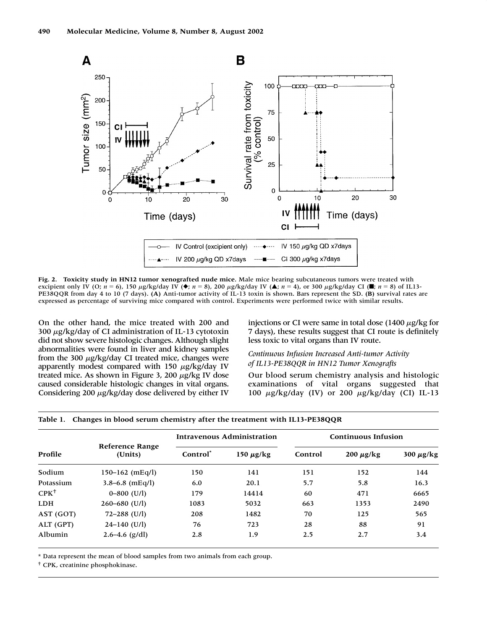

**Fig. 2. Toxicity study in HN12 tumor xenografted nude mice.** Male mice bearing subcutaneous tumors were treated with excipient only IV (O;  $n = 6$ ), 150  $\mu$ g/kg/day IV ( $\blacklozenge$ ;  $n = 8$ ), 200  $\mu$ g/kg/day IV ( $\blacktriangle$ ;  $n = 4$ ), or 300  $\mu$ g/kg/day CI ( $\blacktriangleright$ ;  $n = 8$ ) of IL13-PE38QQR from day 4 to 10 (7 days). **(A)** Anti-tumor activity of IL-13 toxin is shown. Bars represent the SD. **(B)** survival rates are expressed as percentage of surviving mice compared with control. Experiments were performed twice with similar results.

On the other hand, the mice treated with 200 and 300  $\mu$ g/kg/day of CI administration of IL-13 cytotoxin did not show severe histologic changes. Although slight abnormalities were found in liver and kidney samples from the 300  $\mu$ g/kg/day CI treated mice, changes were apparently modest compared with 150  $\mu$ g/kg/day IV treated mice. As shown in Figure 3, 200  $\mu$ g/kg IV dose caused considerable histologic changes in vital organs. Considering 200  $\mu$ g/kg/day dose delivered by either IV

injections or CI were same in total dose  $(1400 \mu g/kg$  for 7 days), these results suggest that CI route is definitely less toxic to vital organs than IV route.

## *Continuous Infusion Increased Anti-tumor Activity of IL13-PE38QQR in HN12 Tumor Xenografts*

Our blood serum chemistry analysis and histologic examinations of vital organs suggested that 100  $\mu$ g/kg/day (IV) or 200  $\mu$ g/kg/day (CI) IL-13

| Profile    | <b>Reference Range</b><br>(Units) | Intravenous Administration |                | <b>Continuous Infusion</b> |                |                |
|------------|-----------------------------------|----------------------------|----------------|----------------------------|----------------|----------------|
|            |                                   | Control <sup>*</sup>       | 150 $\mu$ g/kg | Control                    | $200 \mu g/kg$ | 300 $\mu$ g/kg |
| Sodium     | $150 - 162$ (mEq/l)               | 150                        | 141            | 151                        | 152            | 144            |
| Potassium  | $3.8 - 6.8$ (mEq/l)               | 6.0                        | 20.1           | 5.7                        | 5.8            | 16.3           |
| $CPK^+$    | $0 - 800$ (U/l)                   | 179                        | 14414          | 60                         | 471            | 6665           |
| <b>LDH</b> | $260 - 680$ (U/l)                 | 1083                       | 5032           | 663                        | 1353           | 2490           |
| AST (GOT)  | $72 - 288$ (U/l)                  | 208                        | 1482           | 70                         | 125            | 565            |
| ALT (GPT)  | $24-140$ (U/l)                    | 76                         | 723            | 28                         | 88             | 91             |
| Albumin    | $2.6 - 4.6$ (g/dl)                | 2.8                        | 1.9            | 2.5                        | 2.7            | 3.4            |

|  | Table 1. Changes in blood serum chemistry after the treatment with IL13-PE38QQR |
|--|---------------------------------------------------------------------------------|
|  |                                                                                 |

\* Data represent the mean of blood samples from two animals from each group.

† CPK, creatinine phosphokinase.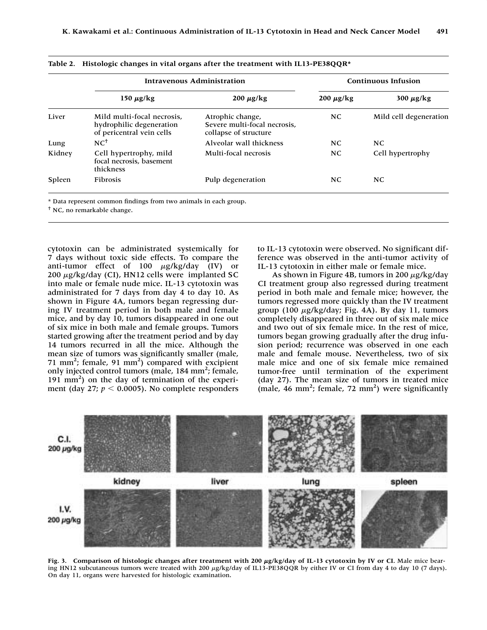|        | <b>Intravenous Administration</b>                                                   |                                                                           | <b>Continuous Infusion</b> |                        |
|--------|-------------------------------------------------------------------------------------|---------------------------------------------------------------------------|----------------------------|------------------------|
|        | 150 $\mu$ g/kg                                                                      | $200 \mu g/kg$                                                            | $200 \mu g/kg$             | 300 $\mu$ g/kg         |
| Liver  | Mild multi-focal necrosis.<br>hydrophilic degeneration<br>of pericentral vein cells | Atrophic change,<br>Severe multi-focal necrosis.<br>collapse of structure | NC.                        | Mild cell degeneration |
| Lung   | $NC^{\dagger}$                                                                      | Alveolar wall thickness                                                   | NC.                        | NC.                    |
| Kidney | Cell hypertrophy, mild<br>focal necrosis, basement<br>thickness                     | Multi-focal necrosis                                                      | NC.                        | Cell hypertrophy       |
| Spleen | <b>Fibrosis</b>                                                                     | Pulp degeneration                                                         | NC.                        | NC.                    |

|  | Table 2. Histologic changes in vital organs after the treatment with IL13-PE38QQR* |  |  |  |
|--|------------------------------------------------------------------------------------|--|--|--|
|--|------------------------------------------------------------------------------------|--|--|--|

† NC, no remarkable change.

cytotoxin can be administrated systemically for 7 days without toxic side effects. To compare the anti-tumor effect of  $100 \mu g/kg/day$  (IV) or  $200 \mu g/kg/day$  (CI), HN12 cells were implanted SC into male or female nude mice. IL-13 cytotoxin was administrated for 7 days from day 4 to day 10. As shown in Figure 4A, tumors began regressing during IV treatment period in both male and female mice, and by day 10, tumors disappeared in one out of six mice in both male and female groups. Tumors started growing after the treatment period and by day 14 tumors recurred in all the mice. Although the mean size of tumors was significantly smaller (male, 71 mm<sup>2</sup>; female, 91 mm<sup>2</sup>) compared with excipient only injected control tumors (male, 184 mm<sup>2</sup>; female, 191 mm2 ) on the day of termination of the experiment (day 27;  $p < 0.0005$ ). No complete responders

to IL-13 cytotoxin were observed. No significant difference was observed in the anti-tumor activity of IL-13 cytotoxin in either male or female mice.

As shown in Figure 4B, tumors in 200  $\mu$ g/kg/day CI treatment group also regressed during treatment period in both male and female mice; however, the tumors regressed more quickly than the IV treatment group (100  $\mu$ g/kg/day; Fig. 4A). By day 11, tumors completely disappeared in three out of six male mice and two out of six female mice. In the rest of mice, tumors began growing gradually after the drug infusion period; recurrence was observed in one each male and female mouse. Nevertheless, two of six male mice and one of six female mice remained tumor-free until termination of the experiment (day 27). The mean size of tumors in treated mice (male, 46 mm<sup>2</sup>; female, 72 mm<sup>2</sup>) were significantly



Fig. 3. Comparison of histologic changes after treatment with 200  $\mu$ g/kg/day of IL-13 cytotoxin by IV or CI. Male mice bearing HN12 subcutaneous tumors were treated with 200 µg/kg/day of IL13-PE38QQR by either IV or CI from day 4 to day 10 (7 days). On day 11, organs were harvested for histologic examination.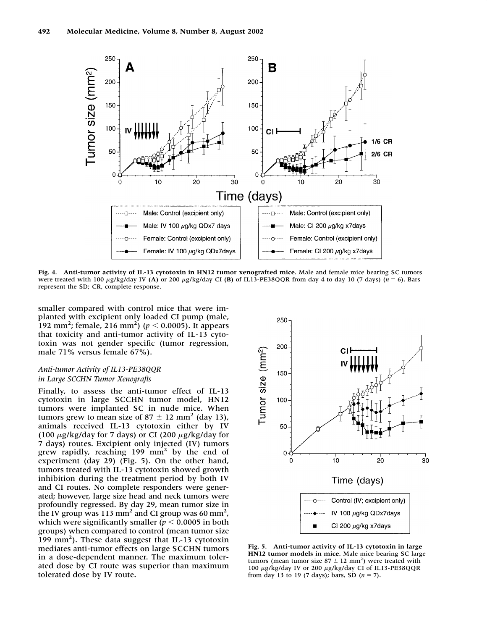

**Fig. 4. Anti-tumor activity of IL-13 cytotoxin in HN12 tumor xenografted mice.** Male and female mice bearing SC tumors were treated with 100  $\mu$ g/kg/day IV **(A)** or 200  $\mu$ g/kg/day CI **(B)** of IL13-PE38QQR from day 4 to day 10 (7 days) ( $n = 6$ ). Bars represent the SD; CR, complete response.

smaller compared with control mice that were implanted with excipient only loaded CI pump (male, 192 mm<sup>2</sup>; female, 216 mm<sup>2</sup>) ( $p < 0.0005$ ). It appears that toxicity and anti-tumor activity of IL-13 cytotoxin was not gender specific (tumor regression, male 71% versus female 67%).

## *Anti-tumor Activity of IL13-PE38QQR in Large SCCHN Tumor Xenografts*

Finally, to assess the anti-tumor effect of IL-13 cytotoxin in large SCCHN tumor model, HN12 tumors were implanted SC in nude mice. When tumors grew to mean size of  $87 \pm 12$  mm<sup>2</sup> (day 13), animals received IL-13 cytotoxin either by IV (100  $\mu$ g/kg/day for 7 days) or CI (200  $\mu$ g/kg/day for 7 days) routes. Excipient only injected (IV) tumors grew rapidly, reaching  $199 \text{ mm}^2$  by the end of experiment (day 29) (Fig. 5). On the other hand, tumors treated with IL-13 cytotoxin showed growth inhibition during the treatment period by both IV and CI routes. No complete responders were generated; however, large size head and neck tumors were profoundly regressed. By day 29, mean tumor size in the IV group was 113 mm<sup>2</sup> and CI group was 60 mm<sup>2</sup>, which were significantly smaller  $(p < 0.0005$  in both groups) when compared to control (mean tumor size 199 mm2 ). These data suggest that IL-13 cytotoxin mediates anti-tumor effects on large SCCHN tumors in a dose-dependent manner. The maximum tolerated dose by CI route was superior than maximum tolerated dose by IV route.



**Fig. 5. Anti-tumor activity of IL-13 cytotoxin in large HN12 tumor models in mice.** Male mice bearing SC large tumors (mean tumor size  $87 \pm 12$  mm<sup>2</sup>) were treated with 100 μg/kg/day IV or 200 μg/kg/day CI of IL13-PE38QQR from day 13 to 19 (7 days); bars, SD  $(n = 7)$ .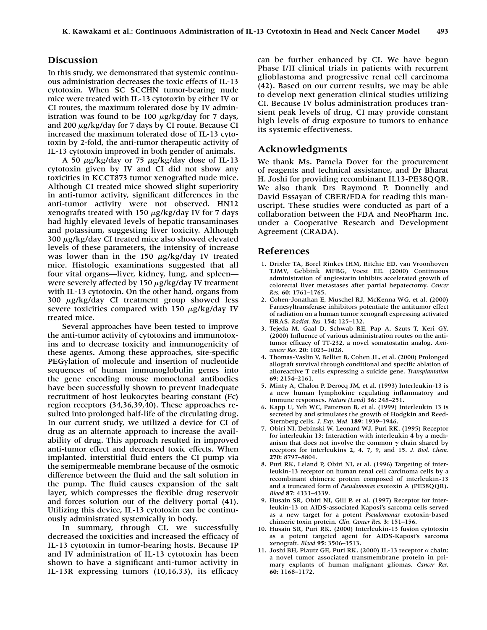## **Discussion**

In this study, we demonstrated that systemic continuous administration decreases the toxic effects of IL-13 cytotoxin. When SC SCCHN tumor-bearing nude mice were treated with IL-13 cytotoxin by either IV or CI routes, the maximum tolerated dose by IV administration was found to be 100  $\mu$ g/kg/day for 7 days, and 200  $\mu$ g/kg/day for 7 days by CI route. Because CI increased the maximum tolerated dose of IL-13 cytotoxin by 2-fold, the anti-tumor therapeutic activity of IL-13 cytotoxin improved in both gender of animals.

A 50  $\mu$ g/kg/day or 75  $\mu$ g/kg/day dose of IL-13 cytotoxin given by IV and CI did not show any toxicities in KCCT873 tumor xenografted nude mice. Although CI treated mice showed slight superiority in anti-tumor activity, significant differences in the anti-tumor activity were not observed. HN12 xenografts treated with 150  $\mu$ g/kg/day IV for 7 days had highly elevated levels of hepatic transaminases and potassium, suggesting liver toxicity. Although  $300 \mu g/kg$  CI treated mice also showed elevated levels of these parameters, the intensity of increase was lower than in the 150  $\mu$ g/kg/day IV treated mice. Histologic examinations suggested that all four vital organs—liver, kidney, lung, and spleen were severely affected by 150  $\mu$ g/kg/day IV treatment with IL-13 cytotoxin. On the other hand, organs from 300  $\mu$ g/kg/day CI treatment group showed less severe toxicities compared with 150  $\mu$ g/kg/day IV treated mice.

Several approaches have been tested to improve the anti-tumor activity of cytotoxins and immunotoxins and to decrease toxicity and immunogenicity of these agents. Among these approaches, site-specific PEGylation of molecule and insertion of nucleotide sequences of human immunoglobulin genes into the gene encoding mouse monoclonal antibodies have been successfully shown to prevent inadequate recruitment of host leukocytes bearing constant (Fc) region receptors (34,36,39,40). These approaches resulted into prolonged half-life of the circulating drug. In our current study, we utilized a device for CI of drug as an alternate approach to increase the availability of drug. This approach resulted in improved anti-tumor effect and decreased toxic effects. When implanted, interstitial fluid enters the CI pump via the semipermeable membrane because of the osmotic difference between the fluid and the salt solution in the pump. The fluid causes expansion of the salt layer, which compresses the flexible drug reservoir and forces solution out of the delivery portal (41). Utilizing this device, IL-13 cytotoxin can be continuously administrated systemically in body.

In summary, through CI, we successfully decreased the toxicities and increased the efficacy of IL-13 cytotoxin in tumor-bearing hosts. Because IP and IV administration of IL-13 cytotoxin has been shown to have a significant anti-tumor activity in IL-13R expressing tumors (10,16,33), its efficacy

can be further enhanced by CI. We have begun Phase I/II clinical trials in patients with recurrent glioblastoma and progressive renal cell carcinoma (42). Based on our current results, we may be able to develop next generation clinical studies utilizing CI. Because IV bolus administration produces transient peak levels of drug, CI may provide constant high levels of drug exposure to tumors to enhance its systemic effectiveness.

## **Acknowledgments**

We thank Ms. Pamela Dover for the procurement of reagents and technical assistance, and Dr Bharat H. Joshi for providing recombinant IL13-PE38QQR. We also thank Drs Raymond P. Donnelly and David Essayan of CBER/FDA for reading this manuscript. These studies were conducted as part of a collaboration between the FDA and NeoPharm Inc. under a Cooperative Research and Development Agreement (CRADA).

#### **References**

- 1. Drixler TA, Borel Rinkes IHM, Ritchie ED, van Vroonhoven TJMV, Gebbink MFBG, Voest EE. (2000) Continuous administration of angiostatin inhibits accelerated growth of colorectal liver metastases after partial hepatectomy. *Cancer Res.* **60:** 1761–1765.
- 2. Cohen-Jonathan E, Muschel RJ, McKenna WG, et al. (2000) Farnesyltransferase inhibitors potentiate the antitumor effect of radiation on a human tumor xenograft expressing activated HRAS. *Radiat. Res.* **154:** 125–132.
- 3. Tejeda M, Gaal D, Schwab RE, Pap A, Szuts T, Keri GY. (2000) Influence of various administration routes on the antitumor efficacy of TT-232, a novel somatostatin analog. *Anticancer Res.* **20:** 1023–1028.
- 4. Thomas-Vaslin V, Bellier B, Cohen JL, et al. (2000) Prolonged allograft survival through conditional and specific ablation of alloreactive T cells expressing a suicide gene. *Transplantation* **69:** 2154–2161.
- 5. Minty A, Chalon P, Derocq JM, et al. (1993) Interleukin-13 is a new human lymphokine regulating inflammatory and immune responses. *Nature (Lond)* **36:** 248–251.
- 6. Kapp U, Yeh WC, Patterson B, et al. (1999) Interleukin 13 is secreted by and stimulates the growth of Hodgkin and Reed-Sternberg cells. *J. Exp. Med.* **189:** 1939–1946.
- 7. Obiri NI, Debinski W, Leonard WJ, Puri RK. (1995) Receptor for interleukin 13: Interaction with interleukin 4 by a mechanism that does not involve the common  $\gamma$  chain shared by receptors for interleukins 2, 4, 7, 9, and 15. *J. Biol. Chem.* **270:** 8797–8804.
- 8. Puri RK, Leland P, Obiri NI, et al. (1996) Targeting of interleukin-13 receptor on human renal cell carcinoma cells by a recombinant chimeric protein composed of interleukin-13 and a truncated form of *Pseudomonas* exotoxin A (PE38QQR). *Blood* **87:** 4333–4339.
- 9. Husain SR, Obiri NI, Gill P, et al. (1997) Receptor for interleukin-13 on AIDS-associated Kaposi's sarcoma cells served as a new target for a potent *Pseudomonas* exotoxin-based chimeric toxin protein. *Clin. Cancer Res.* **3:** 151–156.
- 10. Husain SR, Puri RK. (2000) Interleukin-13 fusion cytotoxin as a potent targeted agent for AIDS-Kaposi's sarcoma xenograft. *Blood* **95:** 3506–3513.
- 11. Joshi BH, Plautz GE, Puri RK. (2000) IL-13 receptor  $\alpha$  chain: a novel tumor associated transmembrane protein in primary explants of human malignant gliomas. *Cancer Res.* **60:** 1168–1172.